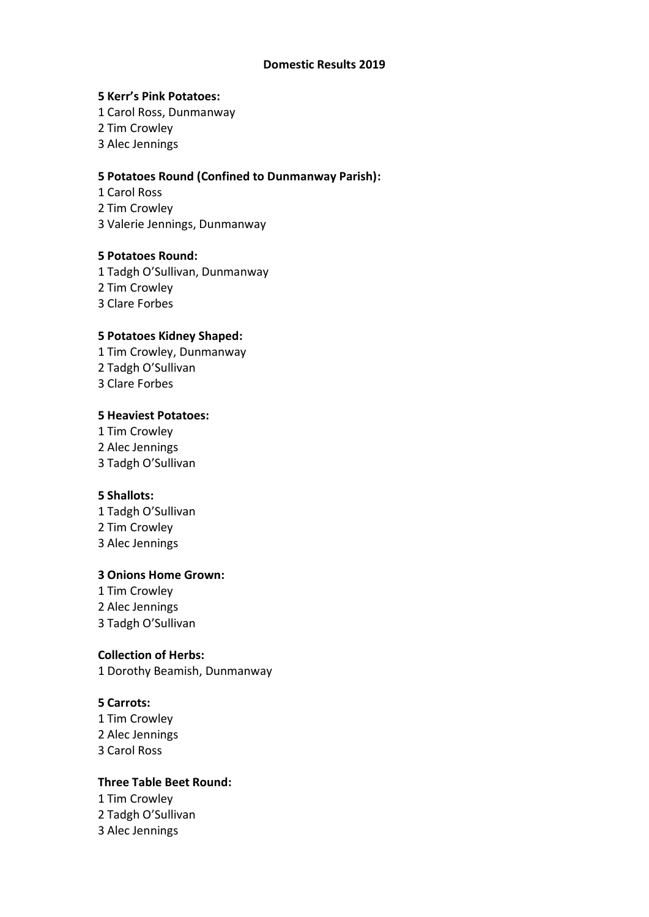### **Domestic Results 2019**

### **5 Kerr's Pink Potatoes:**

- 1 Carol Ross, Dunmanway
- 2 Tim Crowley
- 3 Alec Jennings

# **5 Potatoes Round (Confined to Dunmanway Parish):**

1 Carol Ross 2 Tim Crowley 3 Valerie Jennings, Dunmanway

## **5 Potatoes Round:**

1 Tadgh O'Sullivan, Dunmanway 2 Tim Crowley 3 Clare Forbes

# **5 Potatoes Kidney Shaped:**

1 Tim Crowley, Dunmanway 2 Tadgh O'Sullivan 3 Clare Forbes

## **5 Heaviest Potatoes:**

1 Tim Crowley 2 Alec Jennings 3 Tadgh O'Sullivan

# **5 Shallots:**

1 Tadgh O'Sullivan 2 Tim Crowley 3 Alec Jennings

## **3 Onions Home Grown:**

1 Tim Crowley 2 Alec Jennings 3 Tadgh O'Sullivan

## **Collection of Herbs:**

1 Dorothy Beamish, Dunmanway

## **5 Carrots:**

1 Tim Crowley 2 Alec Jennings 3 Carol Ross

## **Three Table Beet Round:**

- 1 Tim Crowley
- 2 Tadgh O'Sullivan
- 3 Alec Jennings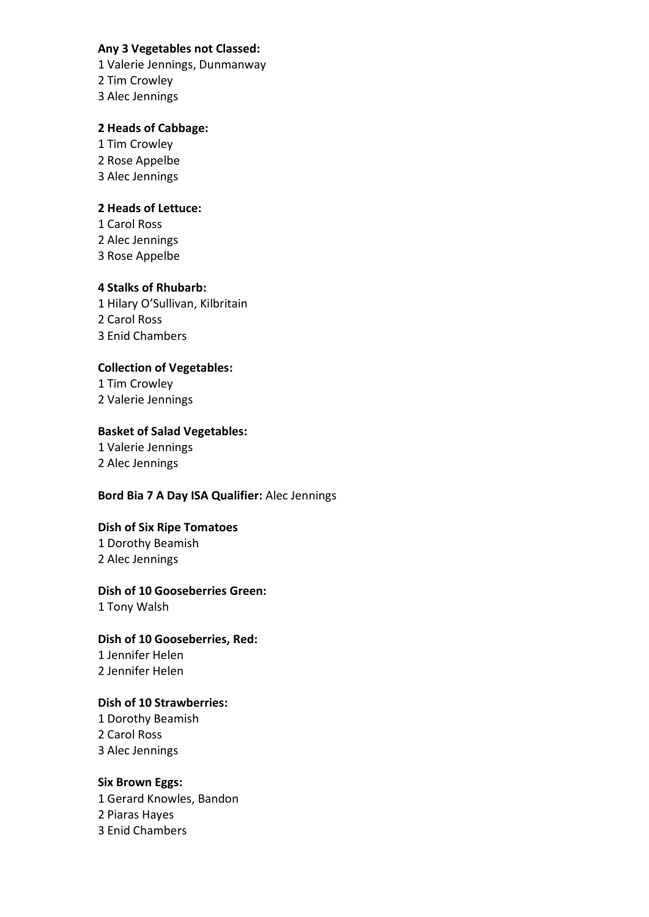## **Any 3 Vegetables not Classed:**

1 Valerie Jennings, Dunmanway 2 Tim Crowley 3 Alec Jennings

# **2 Heads of Cabbage:**

1 Tim Crowley 2 Rose Appelbe 3 Alec Jennings

# **2 Heads of Lettuce:**

1 Carol Ross 2 Alec Jennings 3 Rose Appelbe

# **4 Stalks of Rhubarb:**

1 Hilary O'Sullivan, Kilbritain 2 Carol Ross 3 Enid Chambers

# **Collection of Vegetables:**

1 Tim Crowley 2 Valerie Jennings

# **Basket of Salad Vegetables:**

1 Valerie Jennings 2 Alec Jennings

# **Bord Bia 7 A Day ISA Qualifier:** Alec Jennings

# **Dish of Six Ripe Tomatoes**

1 Dorothy Beamish 2 Alec Jennings

# **Dish of 10 Gooseberries Green:**

1 Tony Walsh

**Dish of 10 Gooseberries, Red:** 1 Jennifer Helen

2 Jennifer Helen

# **Dish of 10 Strawberries:**

1 Dorothy Beamish 2 Carol Ross 3 Alec Jennings

## **Six Brown Eggs:**

1 Gerard Knowles, Bandon 2 Piaras Hayes 3 Enid Chambers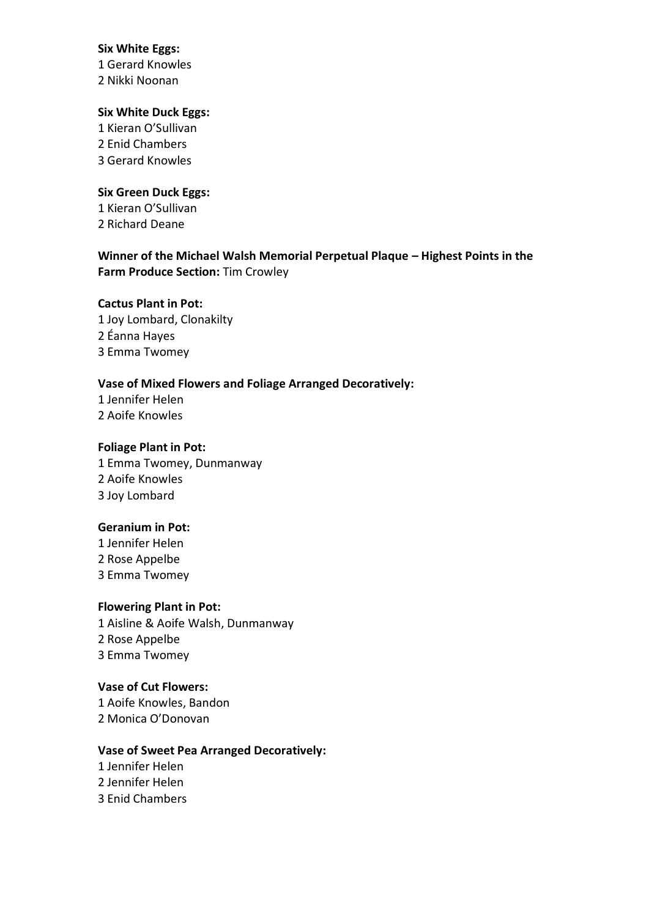## **Six White Eggs:**

1 Gerard Knowles 2 Nikki Noonan

# **Six White Duck Eggs:**

1 Kieran O'Sullivan 2 Enid Chambers 3 Gerard Knowles

## **Six Green Duck Eggs:**

1 Kieran O'Sullivan 2 Richard Deane

# **Winner of the Michael Walsh Memorial Perpetual Plaque – Highest Points in the Farm Produce Section:** Tim Crowley

## **Cactus Plant in Pot:**

1 Joy Lombard, Clonakilty 2 Éanna Hayes 3 Emma Twomey

## **Vase of Mixed Flowers and Foliage Arranged Decoratively:**

1 Jennifer Helen 2 Aoife Knowles

# **Foliage Plant in Pot:**

1 Emma Twomey, Dunmanway 2 Aoife Knowles 3 Joy Lombard

# **Geranium in Pot:**

1 Jennifer Helen 2 Rose Appelbe 3 Emma Twomey

## **Flowering Plant in Pot:**

1 Aisline & Aoife Walsh, Dunmanway 2 Rose Appelbe 3 Emma Twomey

# **Vase of Cut Flowers:**

1 Aoife Knowles, Bandon 2 Monica O'Donovan

# **Vase of Sweet Pea Arranged Decoratively:**

1 Jennifer Helen 2 Jennifer Helen 3 Enid Chambers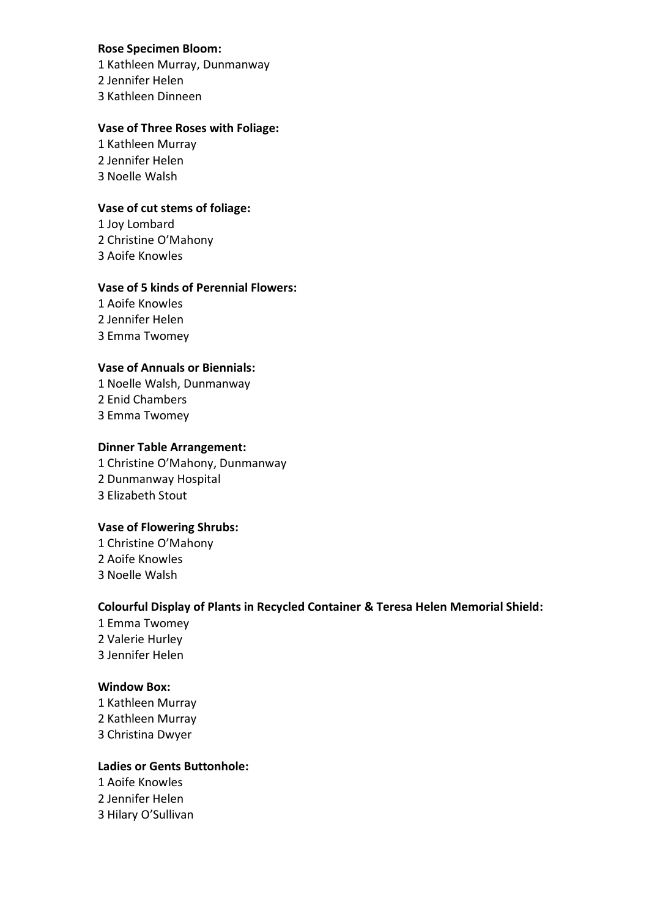## **Rose Specimen Bloom:**

1 Kathleen Murray, Dunmanway 2 Jennifer Helen 3 Kathleen Dinneen

### **Vase of Three Roses with Foliage:**

1 Kathleen Murray 2 Jennifer Helen 3 Noelle Walsh

## **Vase of cut stems of foliage:**

1 Joy Lombard 2 Christine O'Mahony 3 Aoife Knowles

## **Vase of 5 kinds of Perennial Flowers:**

1 Aoife Knowles 2 Jennifer Helen 3 Emma Twomey

# **Vase of Annuals or Biennials:**

1 Noelle Walsh, Dunmanway 2 Enid Chambers 3 Emma Twomey

# **Dinner Table Arrangement:**

1 Christine O'Mahony, Dunmanway 2 Dunmanway Hospital 3 Elizabeth Stout

## **Vase of Flowering Shrubs:**

1 Christine O'Mahony 2 Aoife Knowles 3 Noelle Walsh

# **Colourful Display of Plants in Recycled Container & Teresa Helen Memorial Shield:**

1 Emma Twomey 2 Valerie Hurley 3 Jennifer Helen

# **Window Box:**

1 Kathleen Murray 2 Kathleen Murray 3 Christina Dwyer

# **Ladies or Gents Buttonhole:**

1 Aoife Knowles 2 Jennifer Helen 3 Hilary O'Sullivan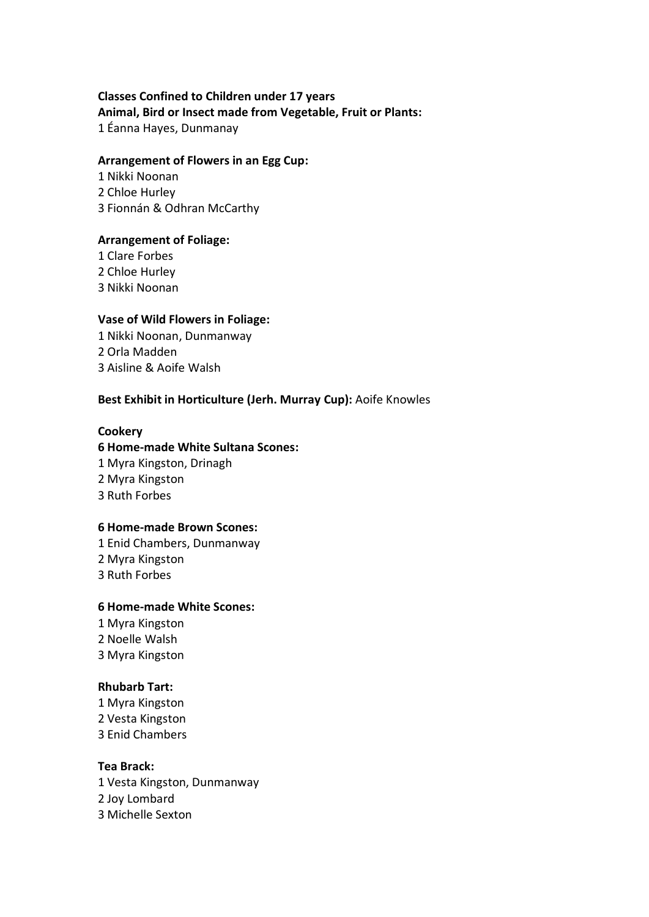# **Classes Confined to Children under 17 years Animal, Bird or Insect made from Vegetable, Fruit or Plants:**  1 Éanna Hayes, Dunmanay

### **Arrangement of Flowers in an Egg Cup:**

1 Nikki Noonan 2 Chloe Hurley 3 Fionnán & Odhran McCarthy

## **Arrangement of Foliage:**

1 Clare Forbes 2 Chloe Hurley 3 Nikki Noonan

## **Vase of Wild Flowers in Foliage:**

1 Nikki Noonan, Dunmanway 2 Orla Madden 3 Aisline & Aoife Walsh

## **Best Exhibit in Horticulture (Jerh. Murray Cup):** Aoife Knowles

## **Cookery**

**6 Home-made White Sultana Scones:** 1 Myra Kingston, Drinagh 2 Myra Kingston 3 Ruth Forbes

## **6 Home-made Brown Scones:**

1 Enid Chambers, Dunmanway 2 Myra Kingston 3 Ruth Forbes

## **6 Home-made White Scones:**

1 Myra Kingston 2 Noelle Walsh 3 Myra Kingston

# **Rhubarb Tart:**

1 Myra Kingston 2 Vesta Kingston 3 Enid Chambers

## **Tea Brack:**

1 Vesta Kingston, Dunmanway 2 Joy Lombard 3 Michelle Sexton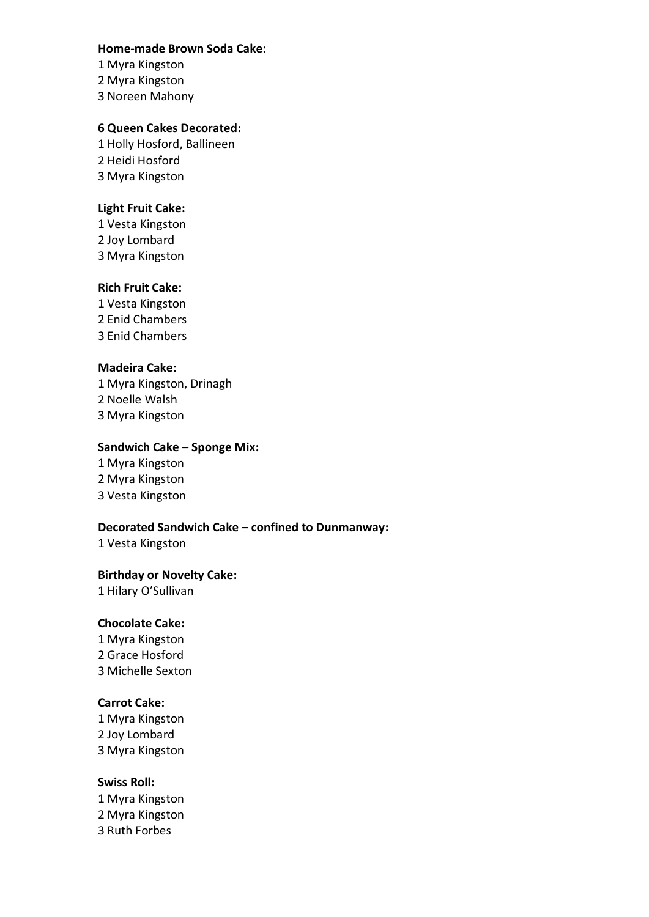#### **Home-made Brown Soda Cake:**

1 Myra Kingston 2 Myra Kingston 3 Noreen Mahony

# **6 Queen Cakes Decorated:**

1 Holly Hosford, Ballineen 2 Heidi Hosford 3 Myra Kingston

# **Light Fruit Cake:**

1 Vesta Kingston 2 Joy Lombard 3 Myra Kingston

# **Rich Fruit Cake:**

1 Vesta Kingston 2 Enid Chambers 3 Enid Chambers

# **Madeira Cake:**

1 Myra Kingston, Drinagh 2 Noelle Walsh 3 Myra Kingston

# **Sandwich Cake – Sponge Mix:**

1 Myra Kingston 2 Myra Kingston 3 Vesta Kingston

## **Decorated Sandwich Cake – confined to Dunmanway:**

1 Vesta Kingston

## **Birthday or Novelty Cake:**

1 Hilary O'Sullivan

## **Chocolate Cake:**

1 Myra Kingston 2 Grace Hosford 3 Michelle Sexton

## **Carrot Cake:**

1 Myra Kingston 2 Joy Lombard 3 Myra Kingston

## **Swiss Roll:**

1 Myra Kingston 2 Myra Kingston 3 Ruth Forbes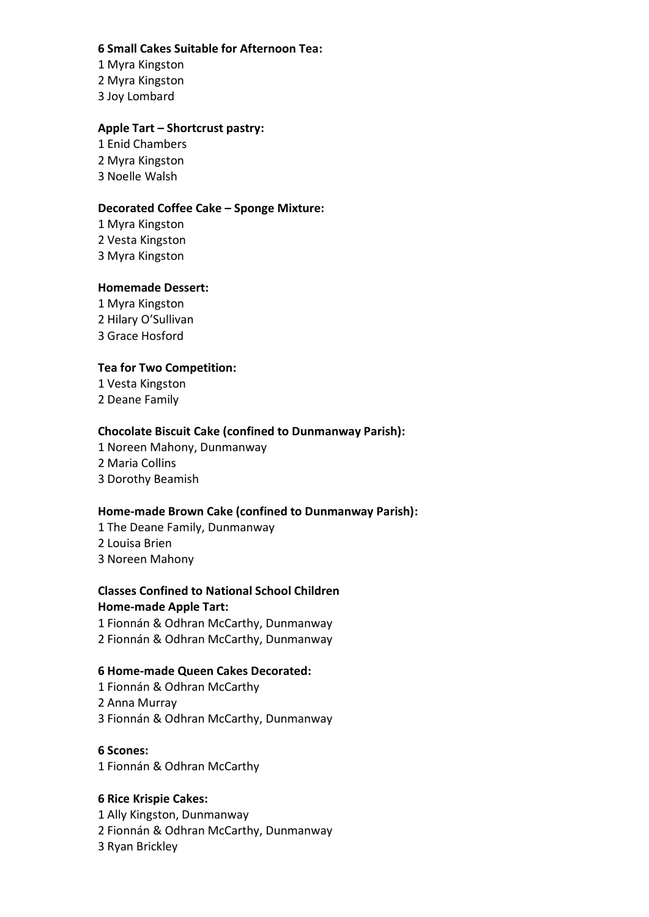# **6 Small Cakes Suitable for Afternoon Tea:**

1 Myra Kingston 2 Myra Kingston 3 Joy Lombard

# **Apple Tart – Shortcrust pastry:**

1 Enid Chambers 2 Myra Kingston 3 Noelle Walsh

## **Decorated Coffee Cake – Sponge Mixture:**

1 Myra Kingston 2 Vesta Kingston 3 Myra Kingston

## **Homemade Dessert:**

1 Myra Kingston 2 Hilary O'Sullivan 3 Grace Hosford

# **Tea for Two Competition:**

1 Vesta Kingston 2 Deane Family

# **Chocolate Biscuit Cake (confined to Dunmanway Parish):**

1 Noreen Mahony, Dunmanway 2 Maria Collins 3 Dorothy Beamish

# **Home-made Brown Cake (confined to Dunmanway Parish):**

1 The Deane Family, Dunmanway 2 Louisa Brien 3 Noreen Mahony

# **Classes Confined to National School Children Home-made Apple Tart:**

1 Fionnán & Odhran McCarthy, Dunmanway 2 Fionnán & Odhran McCarthy, Dunmanway

# **6 Home-made Queen Cakes Decorated:**

1 Fionnán & Odhran McCarthy 2 Anna Murray 3 Fionnán & Odhran McCarthy, Dunmanway

## **6 Scones:**

1 Fionnán & Odhran McCarthy

# **6 Rice Krispie Cakes:**

1 Ally Kingston, Dunmanway 2 Fionnán & Odhran McCarthy, Dunmanway 3 Ryan Brickley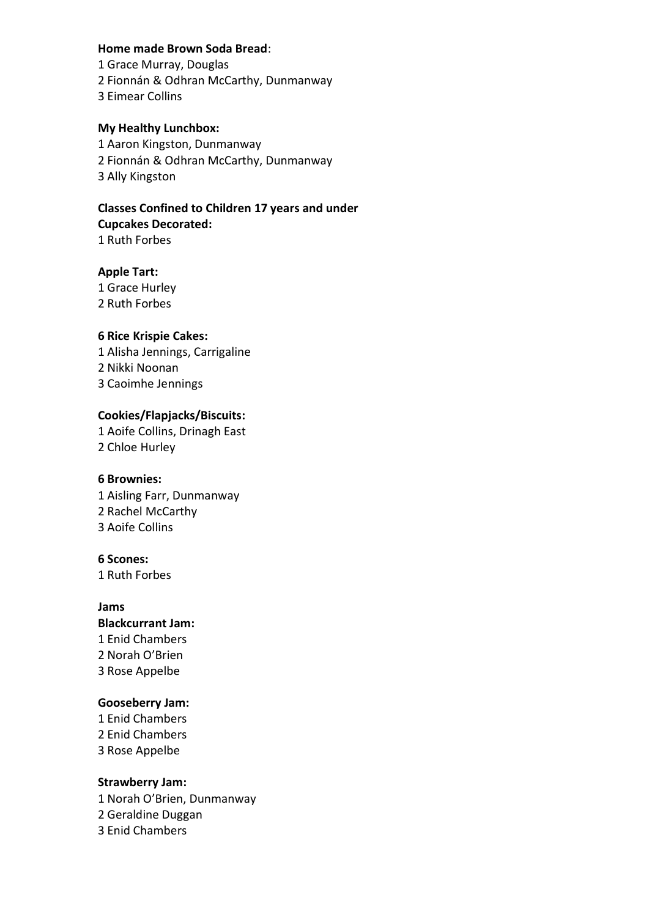#### **Home made Brown Soda Bread**:

- 1 Grace Murray, Douglas
- 2 Fionnán & Odhran McCarthy, Dunmanway
- 3 Eimear Collins

# **My Healthy Lunchbox:**

1 Aaron Kingston, Dunmanway 2 Fionnán & Odhran McCarthy, Dunmanway 3 Ally Kingston

## **Classes Confined to Children 17 years and under Cupcakes Decorated:** 1 Ruth Forbes

# **Apple Tart:**

1 Grace Hurley 2 Ruth Forbes

# **6 Rice Krispie Cakes:**

1 Alisha Jennings, Carrigaline 2 Nikki Noonan 3 Caoimhe Jennings

# **Cookies/Flapjacks/Biscuits:**

1 Aoife Collins, Drinagh East 2 Chloe Hurley

## **6 Brownies:**

1 Aisling Farr, Dunmanway 2 Rachel McCarthy 3 Aoife Collins

# **6 Scones:**

1 Ruth Forbes

# **Jams Blackcurrant Jam:**  1 Enid Chambers 2 Norah O'Brien 3 Rose Appelbe

## **Gooseberry Jam:**

1 Enid Chambers 2 Enid Chambers 3 Rose Appelbe

## **Strawberry Jam:**

1 Norah O'Brien, Dunmanway 2 Geraldine Duggan 3 Enid Chambers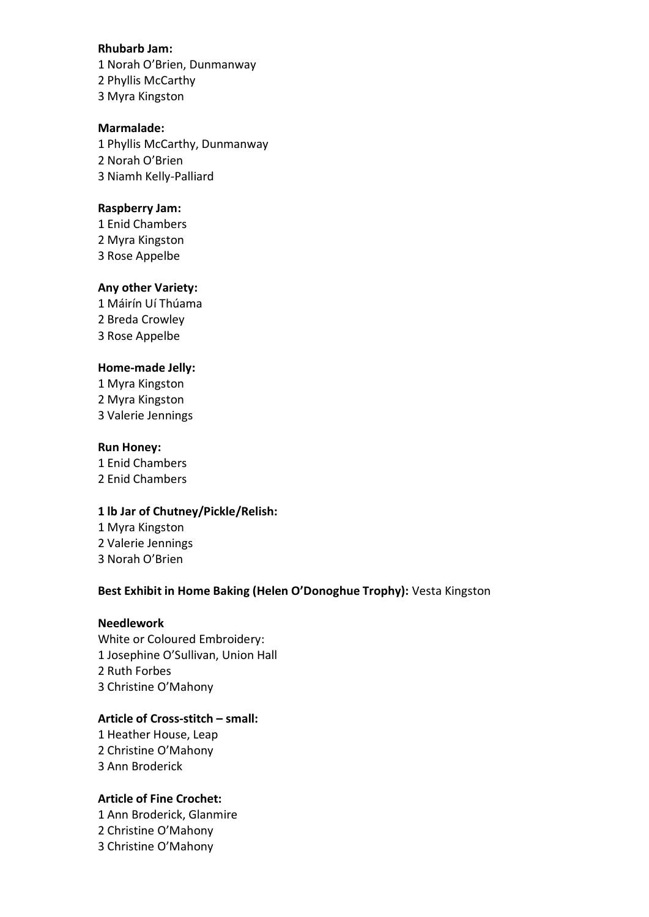#### **Rhubarb Jam:**

1 Norah O'Brien, Dunmanway 2 Phyllis McCarthy 3 Myra Kingston

### **Marmalade:**

1 Phyllis McCarthy, Dunmanway 2 Norah O'Brien 3 Niamh Kelly-Palliard

#### **Raspberry Jam:**

1 Enid Chambers 2 Myra Kingston 3 Rose Appelbe

## **Any other Variety:**

1 Máirín Uí Thúama 2 Breda Crowley 3 Rose Appelbe

#### **Home-made Jelly:**

1 Myra Kingston 2 Myra Kingston 3 Valerie Jennings

#### **Run Honey:**

1 Enid Chambers 2 Enid Chambers

## **1 lb Jar of Chutney/Pickle/Relish:**

1 Myra Kingston 2 Valerie Jennings 3 Norah O'Brien

# **Best Exhibit in Home Baking (Helen O'Donoghue Trophy):** Vesta Kingston

# **Needlework**

White or Coloured Embroidery: 1 Josephine O'Sullivan, Union Hall 2 Ruth Forbes 3 Christine O'Mahony

## **Article of Cross-stitch – small:**

1 Heather House, Leap 2 Christine O'Mahony 3 Ann Broderick

## **Article of Fine Crochet:**

1 Ann Broderick, Glanmire 2 Christine O'Mahony 3 Christine O'Mahony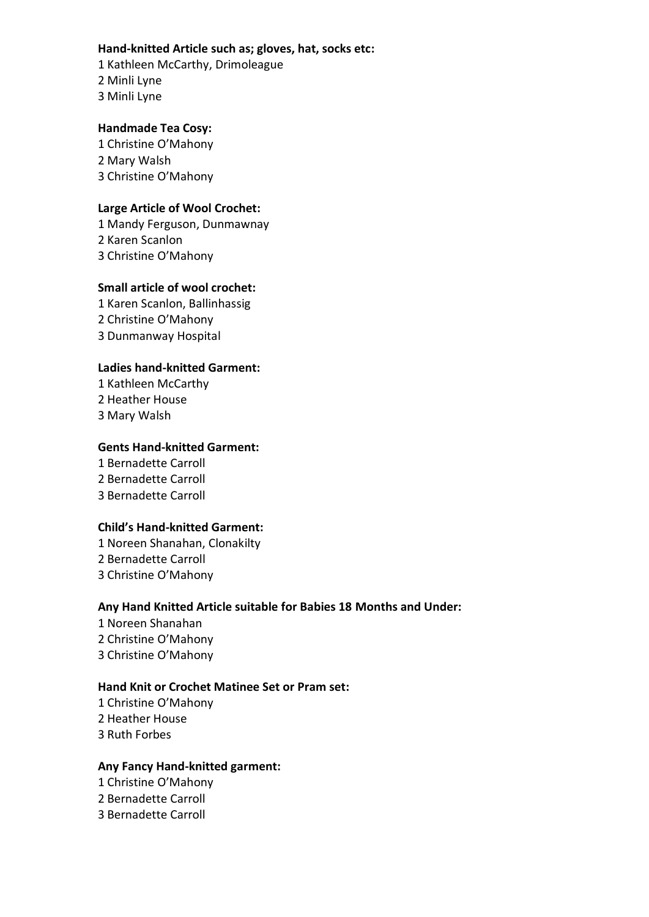## **Hand-knitted Article such as; gloves, hat, socks etc:**

1 Kathleen McCarthy, Drimoleague 2 Minli Lyne 3 Minli Lyne

# **Handmade Tea Cosy:**

1 Christine O'Mahony 2 Mary Walsh 3 Christine O'Mahony

# **Large Article of Wool Crochet:**

1 Mandy Ferguson, Dunmawnay 2 Karen Scanlon 3 Christine O'Mahony

# **Small article of wool crochet:**

1 Karen Scanlon, Ballinhassig 2 Christine O'Mahony 3 Dunmanway Hospital

# **Ladies hand-knitted Garment:**

1 Kathleen McCarthy 2 Heather House 3 Mary Walsh

# **Gents Hand-knitted Garment:**

1 Bernadette Carroll 2 Bernadette Carroll 3 Bernadette Carroll

## **Child's Hand-knitted Garment:**

1 Noreen Shanahan, Clonakilty 2 Bernadette Carroll 3 Christine O'Mahony

# **Any Hand Knitted Article suitable for Babies 18 Months and Under:**

1 Noreen Shanahan 2 Christine O'Mahony 3 Christine O'Mahony

# **Hand Knit or Crochet Matinee Set or Pram set:**

1 Christine O'Mahony 2 Heather House

3 Ruth Forbes

## **Any Fancy Hand-knitted garment:**

1 Christine O'Mahony

2 Bernadette Carroll

3 Bernadette Carroll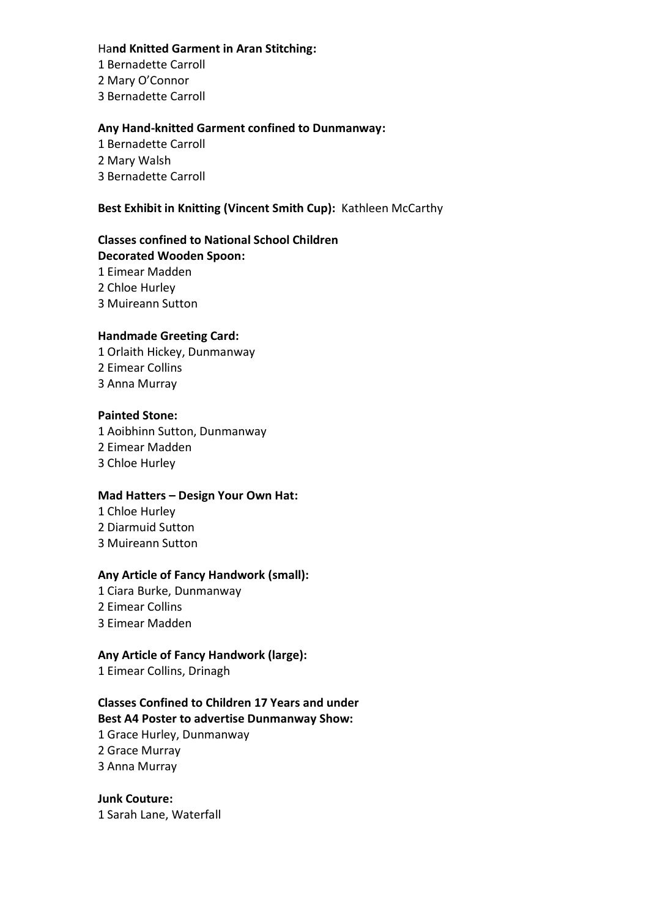## Ha**nd Knitted Garment in Aran Stitching:**

1 Bernadette Carroll 2 Mary O'Connor

3 Bernadette Carroll

# **Any Hand-knitted Garment confined to Dunmanway:**

1 Bernadette Carroll 2 Mary Walsh 3 Bernadette Carroll

# **Best Exhibit in Knitting (Vincent Smith Cup):** Kathleen McCarthy

## **Classes confined to National School Children Decorated Wooden Spoon:**

1 Eimear Madden 2 Chloe Hurley

3 Muireann Sutton

# **Handmade Greeting Card:**

1 Orlaith Hickey, Dunmanway 2 Eimear Collins 3 Anna Murray

# **Painted Stone:**

1 Aoibhinn Sutton, Dunmanway 2 Eimear Madden 3 Chloe Hurley

# **Mad Hatters – Design Your Own Hat:**

1 Chloe Hurley 2 Diarmuid Sutton 3 Muireann Sutton

## **Any Article of Fancy Handwork (small):**

- 1 Ciara Burke, Dunmanway
- 2 Eimear Collins
- 3 Eimear Madden

# **Any Article of Fancy Handwork (large):**

1 Eimear Collins, Drinagh

#### **Classes Confined to Children 17 Years and under Best A4 Poster to advertise Dunmanway Show:**

1 Grace Hurley, Dunmanway 2 Grace Murray 3 Anna Murray

## **Junk Couture:**  1 Sarah Lane, Waterfall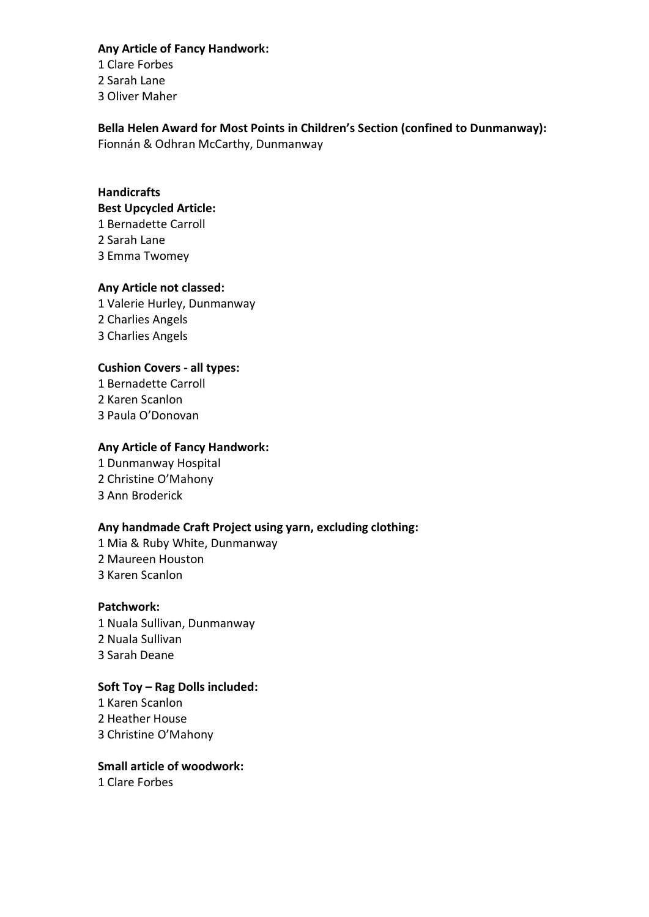## **Any Article of Fancy Handwork:**

1 Clare Forbes 2 Sarah Lane

3 Oliver Maher

# **Bella Helen Award for Most Points in Children's Section (confined to Dunmanway):**

Fionnán & Odhran McCarthy, Dunmanway

# **Handicrafts**

# **Best Upcycled Article:**

1 Bernadette Carroll

- 2 Sarah Lane
- 3 Emma Twomey

# **Any Article not classed:**

1 Valerie Hurley, Dunmanway 2 Charlies Angels 3 Charlies Angels

# **Cushion Covers - all types:**

1 Bernadette Carroll 2 Karen Scanlon 3 Paula O'Donovan

# **Any Article of Fancy Handwork:**

1 Dunmanway Hospital 2 Christine O'Mahony 3 Ann Broderick

# **Any handmade Craft Project using yarn, excluding clothing:**

1 Mia & Ruby White, Dunmanway 2 Maureen Houston 3 Karen Scanlon

## **Patchwork:**

1 Nuala Sullivan, Dunmanway 2 Nuala Sullivan 3 Sarah Deane

# **Soft Toy – Rag Dolls included:**

1 Karen Scanlon 2 Heather House 3 Christine O'Mahony

# **Small article of woodwork:**

1 Clare Forbes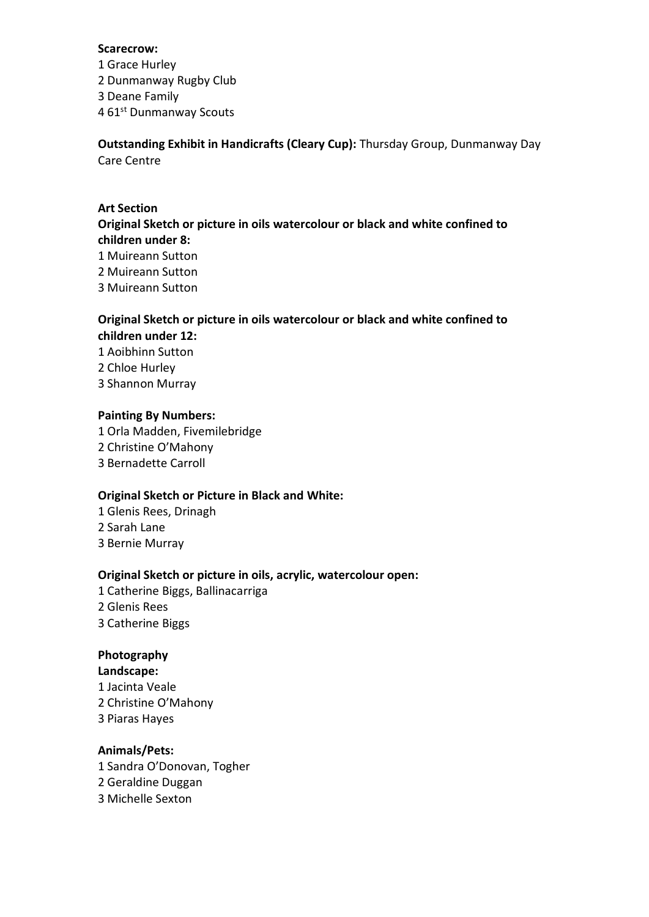#### **Scarecrow:**

- 1 Grace Hurley
- 2 Dunmanway Rugby Club
- 3 Deane Family
- 4 61<sup>st</sup> Dunmanway Scouts

**Outstanding Exhibit in Handicrafts (Cleary Cup):** Thursday Group, Dunmanway Day Care Centre

# **Art Section**

# **Original Sketch or picture in oils watercolour or black and white confined to children under 8:**

- 1 Muireann Sutton
- 2 Muireann Sutton
- 3 Muireann Sutton

# **Original Sketch or picture in oils watercolour or black and white confined to children under 12:**

- 1 Aoibhinn Sutton
- 2 Chloe Hurley
- 3 Shannon Murray

# **Painting By Numbers:**

1 Orla Madden, Fivemilebridge 2 Christine O'Mahony 3 Bernadette Carroll

# **Original Sketch or Picture in Black and White:**

- 1 Glenis Rees, Drinagh 2 Sarah Lane
- 3 Bernie Murray

# **Original Sketch or picture in oils, acrylic, watercolour open:**

- 1 Catherine Biggs, Ballinacarriga
- 2 Glenis Rees
- 3 Catherine Biggs

# **Photography**

## **Landscape:**

- 1 Jacinta Veale
- 2 Christine O'Mahony
- 3 Piaras Hayes

# **Animals/Pets:**

1 Sandra O'Donovan, Togher 2 Geraldine Duggan 3 Michelle Sexton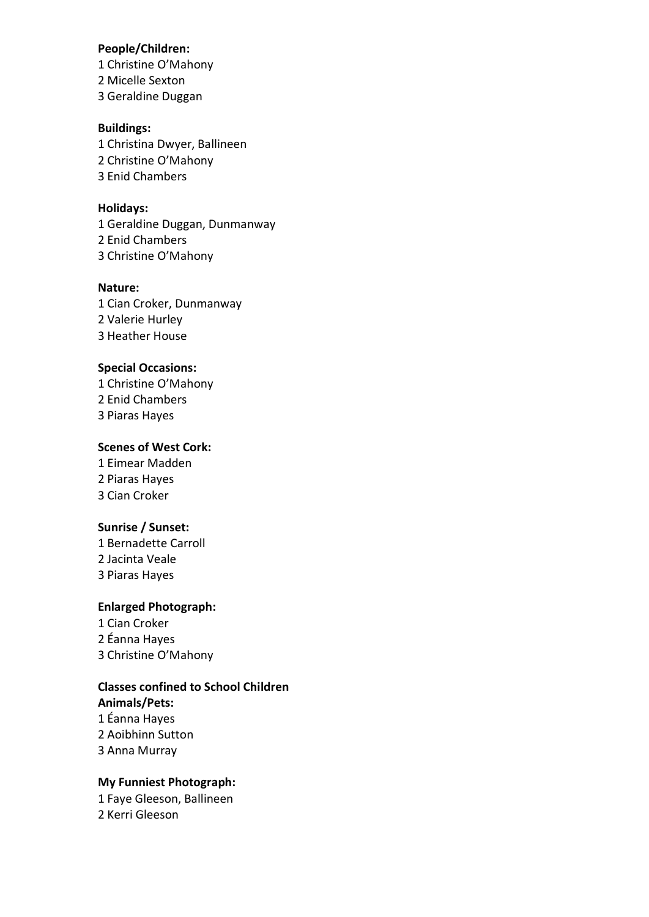#### **People/Children:**

1 Christine O'Mahony

2 Micelle Sexton

3 Geraldine Duggan

### **Buildings:**

1 Christina Dwyer, Ballineen 2 Christine O'Mahony 3 Enid Chambers

# **Holidays:**

1 Geraldine Duggan, Dunmanway 2 Enid Chambers 3 Christine O'Mahony

#### **Nature:**

1 Cian Croker, Dunmanway 2 Valerie Hurley 3 Heather House

# **Special Occasions:**

1 Christine O'Mahony 2 Enid Chambers 3 Piaras Hayes

# **Scenes of West Cork:**

1 Eimear Madden 2 Piaras Hayes 3 Cian Croker

# **Sunrise / Sunset:**

1 Bernadette Carroll 2 Jacinta Veale 3 Piaras Hayes

# **Enlarged Photograph:**

1 Cian Croker 2 Éanna Hayes 3 Christine O'Mahony

# **Classes confined to School Children**

**Animals/Pets:** 1 Éanna Hayes 2 Aoibhinn Sutton 3 Anna Murray

# **My Funniest Photograph:**

1 Faye Gleeson, Ballineen 2 Kerri Gleeson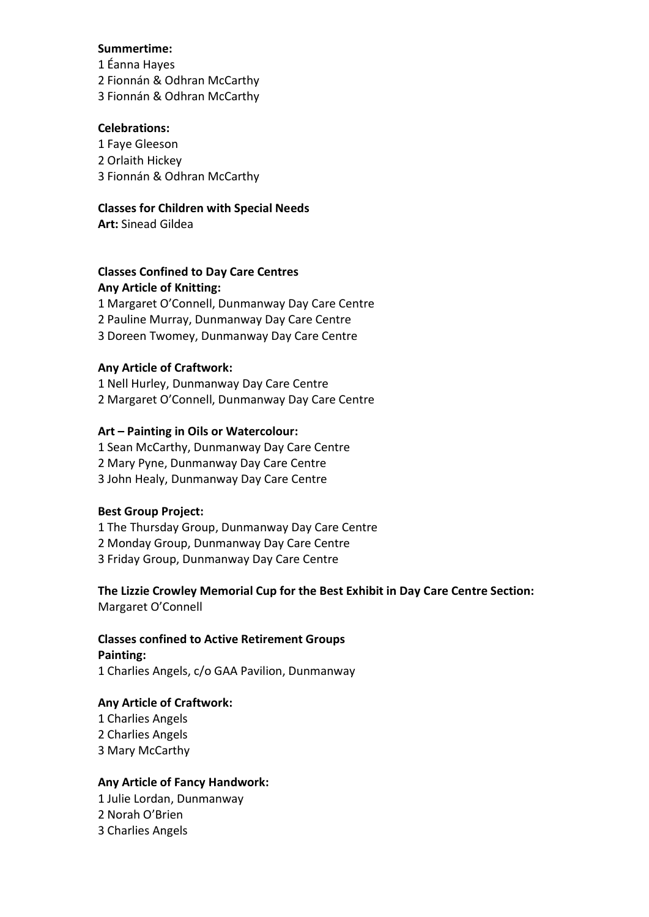## **Summertime:**

1 Éanna Hayes 2 Fionnán & Odhran McCarthy 3 Fionnán & Odhran McCarthy

## **Celebrations:**

1 Faye Gleeson 2 Orlaith Hickey 3 Fionnán & Odhran McCarthy

## **Classes for Children with Special Needs**

**Art:** Sinead Gildea

# **Classes Confined to Day Care Centres Any Article of Knitting:**

1 Margaret O'Connell, Dunmanway Day Care Centre 2 Pauline Murray, Dunmanway Day Care Centre 3 Doreen Twomey, Dunmanway Day Care Centre

# **Any Article of Craftwork:**

1 Nell Hurley, Dunmanway Day Care Centre 2 Margaret O'Connell, Dunmanway Day Care Centre

# **Art – Painting in Oils or Watercolour:**

1 Sean McCarthy, Dunmanway Day Care Centre 2 Mary Pyne, Dunmanway Day Care Centre 3 John Healy, Dunmanway Day Care Centre

## **Best Group Project:**

1 The Thursday Group, Dunmanway Day Care Centre 2 Monday Group, Dunmanway Day Care Centre 3 Friday Group, Dunmanway Day Care Centre

## **The Lizzie Crowley Memorial Cup for the Best Exhibit in Day Care Centre Section:** Margaret O'Connell

## **Classes confined to Active Retirement Groups Painting:**

1 Charlies Angels, c/o GAA Pavilion, Dunmanway

## **Any Article of Craftwork:**

1 Charlies Angels 2 Charlies Angels 3 Mary McCarthy

# **Any Article of Fancy Handwork:**

1 Julie Lordan, Dunmanway

2 Norah O'Brien

3 Charlies Angels